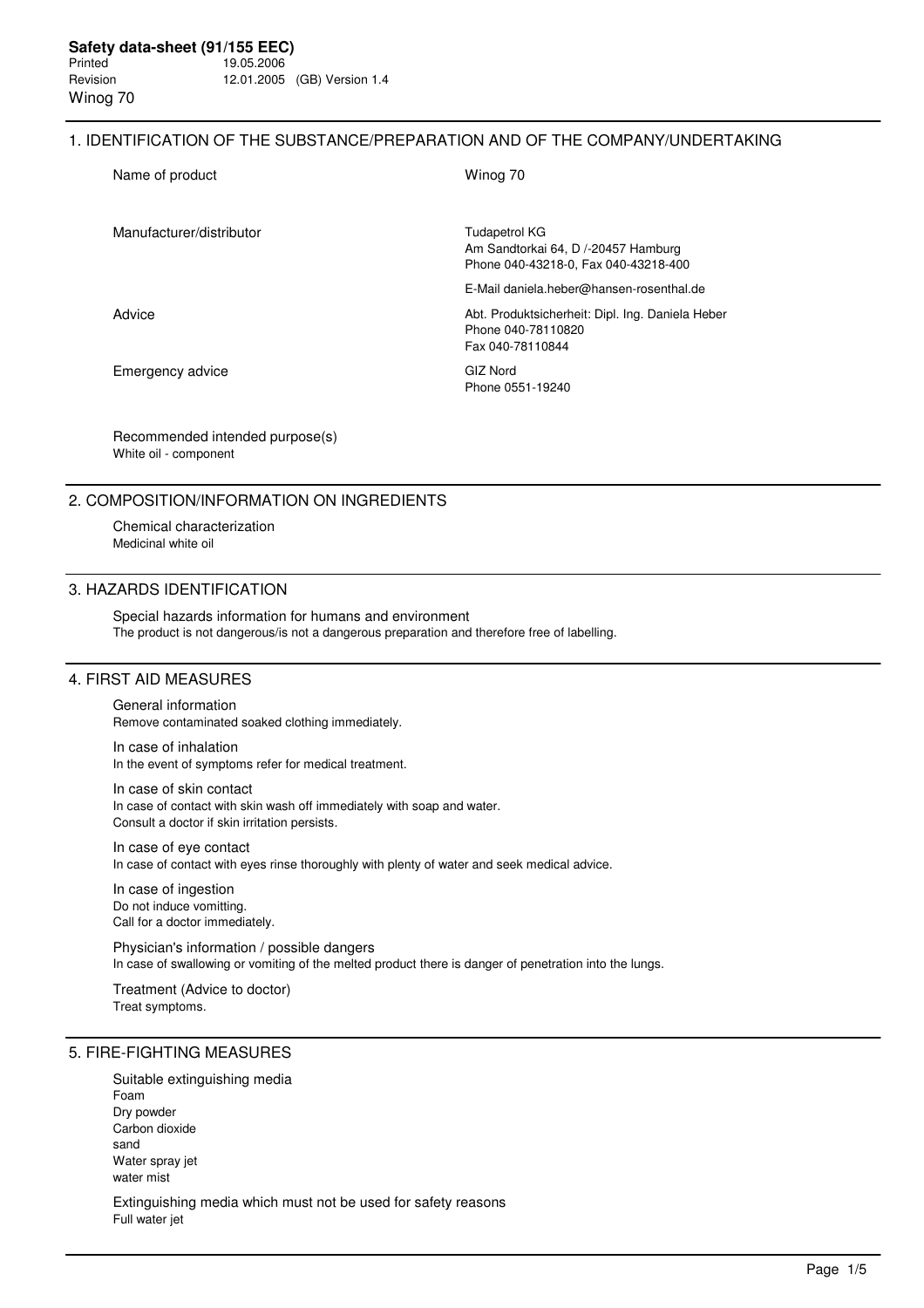#### 1. IDENTIFICATION OF THE SUBSTANCE/PREPARATION AND OF THE COMPANY/UNDERTAKING

| Name of product          | Winog 70                                                                                            |
|--------------------------|-----------------------------------------------------------------------------------------------------|
| Manufacturer/distributor | <b>Tudapetrol KG</b><br>Am Sandtorkai 64, D /-20457 Hamburg<br>Phone 040-43218-0, Fax 040-43218-400 |
|                          | E-Mail daniela.heber@hansen-rosenthal.de                                                            |
| Advice                   | Abt. Produktsicherheit: Dipl. Ing. Daniela Heber<br>Phone 040-78110820<br>Fax 040-78110844          |
| Emergency advice         | <b>GIZ Nord</b><br>Phone 0551-19240                                                                 |

Recommended intended purpose(s) White oil - component

## 2. COMPOSITION/INFORMATION ON INGREDIENTS

Chemical characterization Medicinal white oil

#### 3. HAZARDS IDENTIFICATION

Special hazards information for humans and environment The product is not dangerous/is not a dangerous preparation and therefore free of labelling.

# 4. FIRST AID MEASURES

General information

Remove contaminated soaked clothing immediately.

In case of inhalation In the event of symptoms refer for medical treatment.

In case of skin contact In case of contact with skin wash off immediately with soap and water. Consult a doctor if skin irritation persists.

In case of eye contact In case of contact with eyes rinse thoroughly with plenty of water and seek medical advice.

In case of ingestion Do not induce vomitting. Call for a doctor immediately.

Physician's information / possible dangers In case of swallowing or vomiting of the melted product there is danger of penetration into the lungs.

Treatment (Advice to doctor) Treat symptoms.

### 5. FIRE-FIGHTING MEASURES

Suitable extinguishing media Foam Dry powder Carbon dioxide sand Water spray jet water mist

Extinguishing media which must not be used for safety reasons Full water jet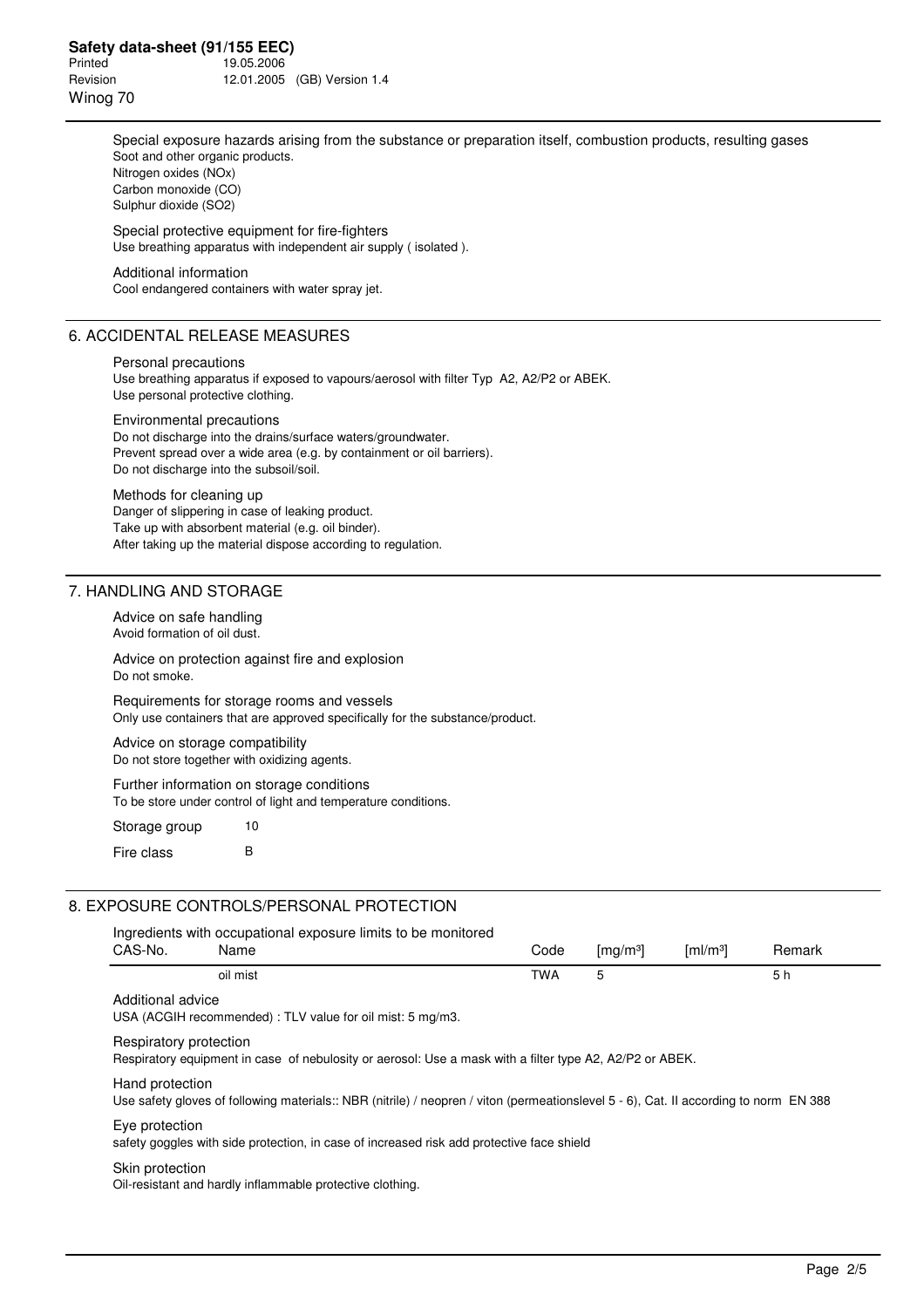Special exposure hazards arising from the substance or preparation itself, combustion products, resulting gases Soot and other organic products. Nitrogen oxides (NOx) Carbon monoxide (CO) Sulphur dioxide (SO2) Special protective equipment for fire-fighters

Use breathing apparatus with independent air supply ( isolated ).

#### Additional information

Cool endangered containers with water spray jet.

### 6. ACCIDENTAL RELEASE MEASURES

#### Personal precautions

Use breathing apparatus if exposed to vapours/aerosol with filter Typ A2, A2/P2 or ABEK. Use personal protective clothing.

Environmental precautions

Do not discharge into the drains/surface waters/groundwater. Prevent spread over a wide area (e.g. by containment or oil barriers). Do not discharge into the subsoil/soil.

#### Methods for cleaning up

Danger of slippering in case of leaking product. Take up with absorbent material (e.g. oil binder). After taking up the material dispose according to regulation.

### 7. HANDLING AND STORAGE

Advice on safe handling Avoid formation of oil dust.

Advice on protection against fire and explosion Do not smoke.

Requirements for storage rooms and vessels Only use containers that are approved specifically for the substance/product.

Advice on storage compatibility Do not store together with oxidizing agents.

Further information on storage conditions To be store under control of light and temperature conditions.

Storage group 10 Fire class B

## 8. EXPOSURE CONTROLS/PERSONAL PROTECTION

| CAS-No.                | Ingredients with occupational exposure limits to be monitored<br>Name                                                                 | Code       | $\left[\frac{mg}{m^3}\right]$ | $\lceil \mathsf{ml}/\mathsf{m}^3 \rceil$ | Remark |
|------------------------|---------------------------------------------------------------------------------------------------------------------------------------|------------|-------------------------------|------------------------------------------|--------|
|                        | oil mist                                                                                                                              | <b>TWA</b> | 5                             |                                          | 5 h    |
| Additional advice      | USA (ACGIH recommended) : TLV value for oil mist: 5 mg/m3.                                                                            |            |                               |                                          |        |
| Respiratory protection | Respiratory equipment in case of nebulosity or aerosol: Use a mask with a filter type A2, A2/P2 or ABEK.                              |            |                               |                                          |        |
| Hand protection        | Use safety gloves of following materials:: NBR (nitrile) / neopren / viton (permeationslevel 5 - 6), Cat. II according to norm EN 388 |            |                               |                                          |        |
| Eye protection         | safety goggles with side protection, in case of increased risk add protective face shield                                             |            |                               |                                          |        |
| Skin protection        | Oil-resistant and hardly inflammable protective clothing.                                                                             |            |                               |                                          |        |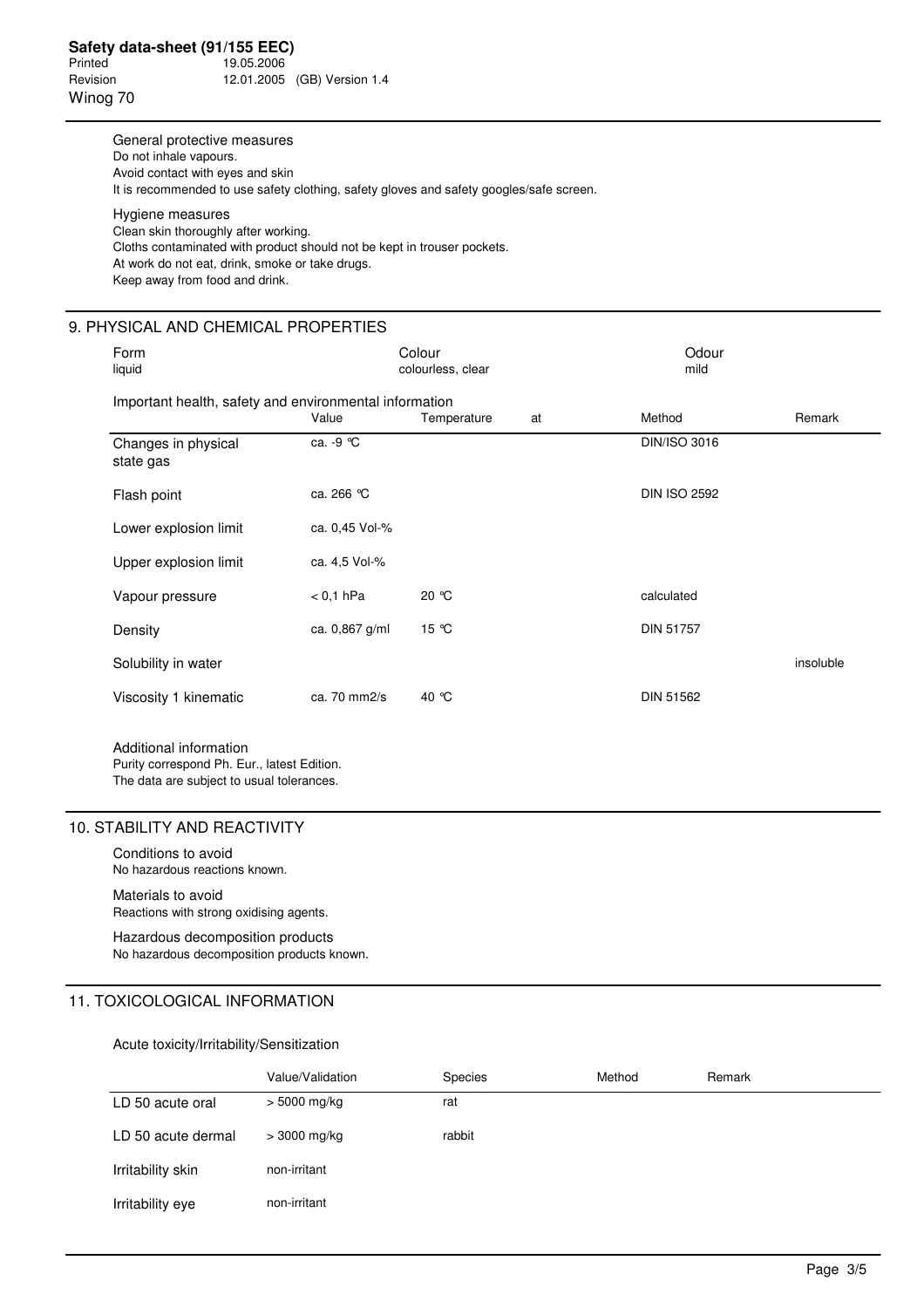General protective measures Do not inhale vapours. Avoid contact with eyes and skin It is recommended to use safety clothing, safety gloves and safety googles/safe screen. Hygiene measures Clean skin thoroughly after working. Cloths contaminated with product should not be kept in trouser pockets. At work do not eat, drink, smoke or take drugs. Keep away from food and drink.

### 9. PHYSICAL AND CHEMICAL PROPERTIES

| Form<br>liquid                                         |                | Colour<br>colourless, clear |    | Odour<br>mild       |           |
|--------------------------------------------------------|----------------|-----------------------------|----|---------------------|-----------|
| Important health, safety and environmental information | Value          | Temperature                 | at | Method              | Remark    |
| Changes in physical<br>state gas                       | ca. -9 °C      |                             |    | <b>DIN/ISO 3016</b> |           |
| Flash point                                            | ca. 266 °C     |                             |    | <b>DIN ISO 2592</b> |           |
| Lower explosion limit                                  | ca. 0,45 Vol-% |                             |    |                     |           |
| Upper explosion limit                                  | ca. 4.5 Vol-%  |                             |    |                     |           |
| Vapour pressure                                        | $< 0.1$ hPa    | 20 ℃                        |    | calculated          |           |
| Density                                                | ca. 0,867 g/ml | 15 °C                       |    | <b>DIN 51757</b>    |           |
| Solubility in water                                    |                |                             |    |                     | insoluble |
| Viscosity 1 kinematic                                  | ca. 70 mm2/s   | 40 °C                       |    | <b>DIN 51562</b>    |           |

Additional information Purity correspond Ph. Eur., latest Edition. The data are subject to usual tolerances.

# 10. STABILITY AND REACTIVITY

Conditions to avoid No hazardous reactions known.

Materials to avoid Reactions with strong oxidising agents.

Hazardous decomposition products No hazardous decomposition products known.

# 11. TOXICOLOGICAL INFORMATION

### Acute toxicity/Irritability/Sensitization

|                    | Value/Validation | <b>Species</b> | Method | Remark |
|--------------------|------------------|----------------|--------|--------|
| LD 50 acute oral   | $> 5000$ mg/kg   | rat            |        |        |
| LD 50 acute dermal | $>$ 3000 mg/kg   | rabbit         |        |        |
| Irritability skin  | non-irritant     |                |        |        |
| Irritability eye   | non-irritant     |                |        |        |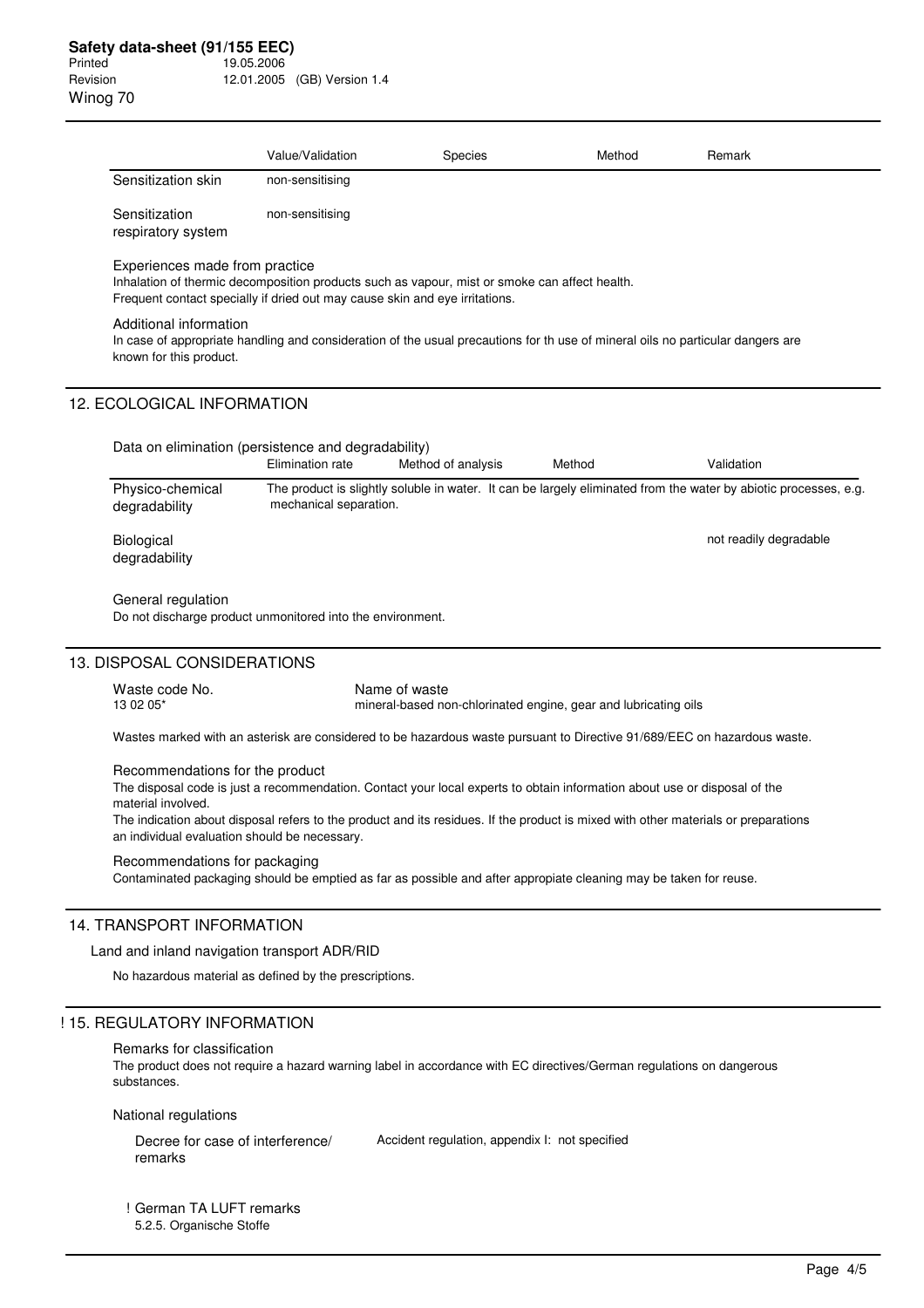|                                                                                                                                                                                                                                                                                                                          | Value/Validation                                                                                                                                                             | <b>Species</b>                                 | Method                                                          | Remark                                                                                                           |  |  |
|--------------------------------------------------------------------------------------------------------------------------------------------------------------------------------------------------------------------------------------------------------------------------------------------------------------------------|------------------------------------------------------------------------------------------------------------------------------------------------------------------------------|------------------------------------------------|-----------------------------------------------------------------|------------------------------------------------------------------------------------------------------------------|--|--|
| Sensitization skin                                                                                                                                                                                                                                                                                                       | non-sensitising                                                                                                                                                              |                                                |                                                                 |                                                                                                                  |  |  |
| Sensitization<br>respiratory system                                                                                                                                                                                                                                                                                      | non-sensitising                                                                                                                                                              |                                                |                                                                 |                                                                                                                  |  |  |
| Experiences made from practice                                                                                                                                                                                                                                                                                           | Inhalation of thermic decomposition products such as vapour, mist or smoke can affect health.<br>Frequent contact specially if dried out may cause skin and eye irritations. |                                                |                                                                 |                                                                                                                  |  |  |
| Additional information<br>known for this product.                                                                                                                                                                                                                                                                        | In case of appropriate handling and consideration of the usual precautions for th use of mineral oils no particular dangers are                                              |                                                |                                                                 |                                                                                                                  |  |  |
| 12. ECOLOGICAL INFORMATION                                                                                                                                                                                                                                                                                               |                                                                                                                                                                              |                                                |                                                                 |                                                                                                                  |  |  |
|                                                                                                                                                                                                                                                                                                                          | Data on elimination (persistence and degradability)<br>Elimination rate                                                                                                      | Method of analysis                             | Method                                                          | Validation                                                                                                       |  |  |
| Physico-chemical<br>degradability                                                                                                                                                                                                                                                                                        | mechanical separation.                                                                                                                                                       |                                                |                                                                 | The product is slightly soluble in water. It can be largely eliminated from the water by abiotic processes, e.g. |  |  |
| Biological<br>degradability                                                                                                                                                                                                                                                                                              |                                                                                                                                                                              |                                                |                                                                 | not readily degradable                                                                                           |  |  |
| General regulation                                                                                                                                                                                                                                                                                                       | Do not discharge product unmonitored into the environment.                                                                                                                   |                                                |                                                                 |                                                                                                                  |  |  |
| 13. DISPOSAL CONSIDERATIONS                                                                                                                                                                                                                                                                                              |                                                                                                                                                                              |                                                |                                                                 |                                                                                                                  |  |  |
| Waste code No.<br>13 02 05*                                                                                                                                                                                                                                                                                              |                                                                                                                                                                              | Name of waste                                  | mineral-based non-chlorinated engine, gear and lubricating oils |                                                                                                                  |  |  |
| Wastes marked with an asterisk are considered to be hazardous waste pursuant to Directive 91/689/EEC on hazardous waste.                                                                                                                                                                                                 |                                                                                                                                                                              |                                                |                                                                 |                                                                                                                  |  |  |
| Recommendations for the product<br>The disposal code is just a recommendation. Contact your local experts to obtain information about use or disposal of the<br>material involved.<br>The indication about disposal refers to the product and its residues. If the product is mixed with other materials or preparations |                                                                                                                                                                              |                                                |                                                                 |                                                                                                                  |  |  |
| an individual evaluation should be necessary.                                                                                                                                                                                                                                                                            |                                                                                                                                                                              |                                                |                                                                 |                                                                                                                  |  |  |
| Recommendations for packaging                                                                                                                                                                                                                                                                                            | Contaminated packaging should be emptied as far as possible and after appropiate cleaning may be taken for reuse.                                                            |                                                |                                                                 |                                                                                                                  |  |  |
| <b>14. TRANSPORT INFORMATION</b>                                                                                                                                                                                                                                                                                         |                                                                                                                                                                              |                                                |                                                                 |                                                                                                                  |  |  |
| Land and inland navigation transport ADR/RID                                                                                                                                                                                                                                                                             |                                                                                                                                                                              |                                                |                                                                 |                                                                                                                  |  |  |
|                                                                                                                                                                                                                                                                                                                          | No hazardous material as defined by the prescriptions.                                                                                                                       |                                                |                                                                 |                                                                                                                  |  |  |
| ! 15. REGULATORY INFORMATION                                                                                                                                                                                                                                                                                             |                                                                                                                                                                              |                                                |                                                                 |                                                                                                                  |  |  |
| Remarks for classification<br>substances.                                                                                                                                                                                                                                                                                | The product does not require a hazard warning label in accordance with EC directives/German regulations on dangerous                                                         |                                                |                                                                 |                                                                                                                  |  |  |
| National regulations                                                                                                                                                                                                                                                                                                     |                                                                                                                                                                              |                                                |                                                                 |                                                                                                                  |  |  |
| Decree for case of interference/<br>remarks                                                                                                                                                                                                                                                                              |                                                                                                                                                                              | Accident regulation, appendix I: not specified |                                                                 |                                                                                                                  |  |  |

! German TA LUFT remarks 5.2.5. Organische Stoffe